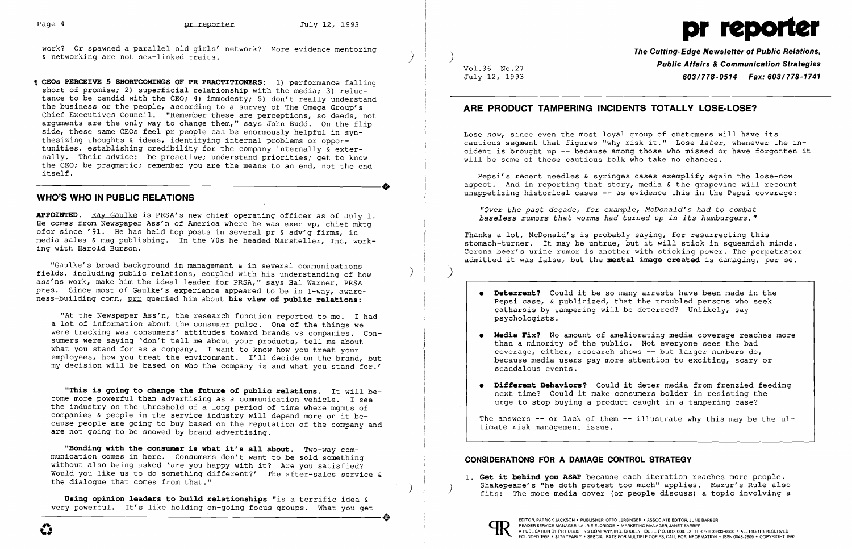work? Or spawned a parallel old girls' network? More evidence mentoring & networking are not sex-linked traits.

**W CEOs PERCEIVE 5 SHORTCOMINGS OF PR PRACTITIONERS:** 1) performance falling short of promise; 2) superficial relationship with the media; 3) reluctance to be candid with the CEO; 4) immodesty; 5) don't really understand the business or the people, according to a survey of The Omega Group's Chief Executives Council. "Remember these are perceptions, so deeds, not arguments are the only way to change them," says John Budd. On the flip side, these same CEOs feel pr people can be enormously helpful in synthesizing thoughts & ideas, identifying internal problems or opportunities, establishing credibility for the company internally & externally. Their advice: be proactive; understand priorities; get to know the CEO; be pragmatic; remember you are the means to an end, not the end<br>itself.<br>WHO'S WHO IN DUBLIC DELATIONS itself.

"Gaulke's broad background in management & in several communications fields, including public relations, coupled with his understanding of how ass'ns work, make him the ideal leader for PRSA," says Hal Warner, PRSA pres. Since most of Gaulke's experience appeared to be in 1-way, awareness-building comn, prr queried him about his view of public relations:

# **WHO'S WHO IN PUBLIC RELATIONS**

**APPOINTED.** Ray Gaulke is PRSA's new chief operating officer as of July 1. He comes from Newspaper Ass'n of America where he was exec vp, chief mktg ofcr since '91. He has held top posts in several pr & adv'g firms, in media sales & mag publishing. In the 70s he headed Marsteller, Inc, work ing with Harold Burson.

**Using opinion 1eaders to bui1d re1ationships** "is a terrific idea & very powerful. It's like holding on-going focus groups. What you get Using opinion leaders to build relationships "is a terrific idea &<br>
very powerful. It's like holding on-going focus groups. What you get<br> **EDITOR, PATRICK JACKSON** • PUBLISHER, OTTO LERBINGER • ASSOCIATE EDITOR, JUNE BARBE

\ )  $\ddot{\phantom{0}}$ 

"At the Newspaper Ass'n, the research function reported to me. I had a lot of information about the consumer pulse. One of the things we were tracking was consumers' attitudes toward brands vs companies. Consumers were saying 'don't tell me about your products, tell me about what you stand for as a company. I want to know how you treat your employees, how you treat the environment. I'll decide on the brand, but my decision will be based on who the company is and what you stand for.'

**"This is going to change the future of pub1ic re1ations.** It will become more powerful than advertising as a communication vehicle. I see the industry on the threshold of a long period of time where mgmts of companies & people in the service industry will depend more on it because people are going to buy based on the reputation of the company and are not going to be snowed by brand advertising.

**• Media Fix?** No amount of ameliorating media coverage reaches more because media users pay more attention to exciting, scary or

The answers -- or lack of them -- illustrate why this may be the ultimate risk management issue.

**"Bonding with the consumer is what it's a11 about.** Two-way communication comes in here. Consumers don't want to be sold something without also being asked 'are you happy with it? Are you satisfied? Would you like us to do something different?' The after-sales service & the dialogue that comes from that."

) \

)

Vo1.36 No.27 July 12, 1993 **The Cutting-Edge Newsletter of Public Relations, Public Affairs & Communication Strategies**  *603/778-0514 Fax: 603/778-1741* 

# **ARE PRODUCT TAMPERING INCIDENTS TOTALLY LOSE-LOSE?**

Lose *now,* since even the most loyal group of customers will have its cautious segment that figures "why risk it." Lose *later,* whenever the incident is brought up -- because among those who missed Or have forgotten it will be some of these cautious folk who take no chances.

Pepsi's recent needles & syringes cases exemplify again the lose-now aspect. And in reporting that story, media & the grapevine will recount unappetizing historical cases -- as evidence this in the Pepsi coverage:

*trOver the past decade, for example, McDonald's had* to *combat baseless rumors that worms had turned up in its hamburgers."* 

Thanks a lot, McDonald's is probably saying, for resurrecting this stomach-turner. It may be untrue, but it will stick in squeamish minds. Corona beer's urine rumor is another with sticking power. The perpetrator admitted it was false, but the **menta1 image created** is damaging, per se.

)

Pepsi case, & publicized, that the troubled persons who seek

- **• Deterrent?** Could it be so many arrests have been made in the catharsis by tampering will be deterred? Unlikely, say psychologists.
- than a minority of the public. Not everyone sees the bad coverage, either, research shows -- but larger numbers do, scandalous events.
- **• Different Behaviors?** Could it deter media from frenzied feeding urge to stop buying a product caught in a tampering case?

next time? Could it make consumers bolder in resisting the

fits: The more media cover (or people discuss) a topic involving a

## **CONSIDERATIONS FOR A DAMAGE CONTROL STRATEGY**

1. **Get it behind you ASAP** because each iteration reaches more people.<br>Shakepeare's "he doth protest too much" applies. Mazur's Rule also

# Page 4 **pr reporter** July 12, 1993